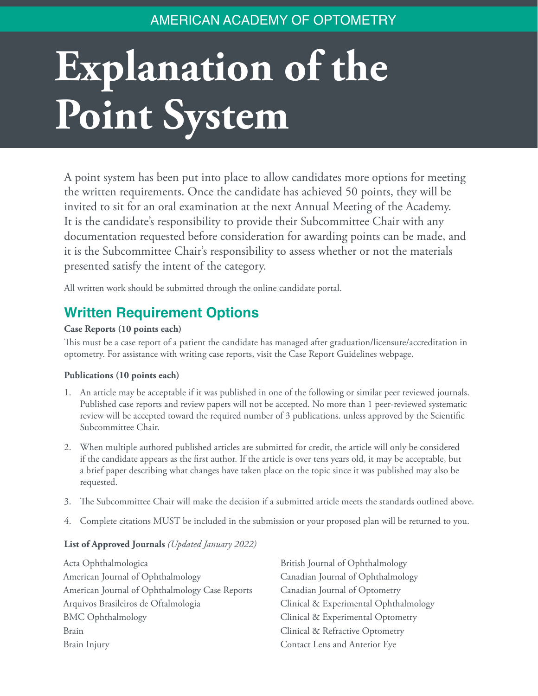### AMERICAN ACADEMY OF OPTOMETRY

# **Explanation of the Point System**

A point system has been put into place to allow candidates more options for meeting the written requirements. Once the candidate has achieved 50 points, they will be invited to sit for an oral examination at the next Annual Meeting of the Academy. It is the candidate's responsibility to provide their Subcommittee Chair with any documentation requested before consideration for awarding points can be made, and it is the Subcommittee Chair's responsibility to assess whether or not the materials presented satisfy the intent of the category.

All written work should be submitted through the online candidate portal.

## **Written Requirement Options**

#### **Case Reports (10 points each)**

This must be a case report of a patient the candidate has managed after graduation/licensure/accreditation in optometry. For assistance with writing case reports, visit the Case Report Guidelines webpage.

#### **Publications (10 points each)**

- 1. An article may be acceptable if it was published in one of the following or similar peer reviewed journals. Published case reports and review papers will not be accepted. No more than 1 peer-reviewed systematic review will be accepted toward the required number of 3 publications. unless approved by the Scientific Subcommittee Chair.
- 2. When multiple authored published articles are submitted for credit, the article will only be considered if the candidate appears as the first author. If the article is over tens years old, it may be acceptable, but a brief paper describing what changes have taken place on the topic since it was published may also be requested.
- 3. The Subcommittee Chair will make the decision if a submitted article meets the standards outlined above.
- 4. Complete citations MUST be included in the submission or your proposed plan will be returned to you.

#### **List of Approved Journals** *(Updated January 2022)*

Acta Ophthalmologica American Journal of Ophthalmology American Journal of Ophthalmology Case Reports Arquivos Brasileiros de Oftalmologia BMC Ophthalmology Brain Brain Injury

British Journal of Ophthalmology Canadian Journal of Ophthalmology Canadian Journal of Optometry Clinical & Experimental Ophthalmology Clinical & Experimental Optometry Clinical & Refractive Optometry Contact Lens and Anterior Eye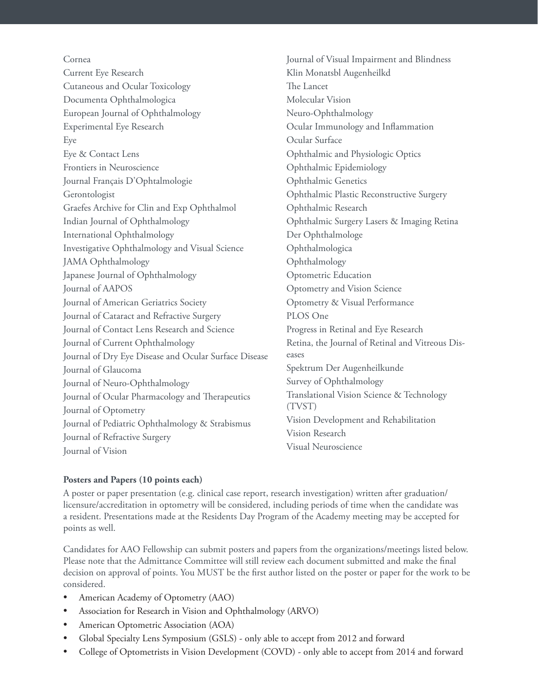Cornea

Current Eye Research Cutaneous and Ocular Toxicology Documenta Ophthalmologica European Journal of Ophthalmology Experimental Eye Research Eye Eye & Contact Lens Frontiers in Neuroscience Journal Français D'Ophtalmologie Gerontologist Graefes Archive for Clin and Exp Ophthalmol Indian Journal of Ophthalmology International Ophthalmology Investigative Ophthalmology and Visual Science JAMA Ophthalmology Japanese Journal of Ophthalmology Journal of AAPOS Journal of American Geriatrics Society Journal of Cataract and Refractive Surgery Journal of Contact Lens Research and Science Journal of Current Ophthalmology Journal of Dry Eye Disease and Ocular Surface Disease Journal of Glaucoma Journal of Neuro-Ophthalmology Journal of Ocular Pharmacology and Therapeutics Journal of Optometry Journal of Pediatric Ophthalmology & Strabismus Journal of Refractive Surgery Journal of Vision

Journal of Visual Impairment and Blindness Klin Monatsbl Augenheilkd The Lancet Molecular Vision Neuro-Ophthalmology Ocular Immunology and Inflammation Ocular Surface Ophthalmic and Physiologic Optics Ophthalmic Epidemiology Ophthalmic Genetics Ophthalmic Plastic Reconstructive Surgery Ophthalmic Research Ophthalmic Surgery Lasers & Imaging Retina Der Ophthalmologe Ophthalmologica Ophthalmology Optometric Education Optometry and Vision Science Optometry & Visual Performance PLOS One Progress in Retinal and Eye Research Retina, the Journal of Retinal and Vitreous Diseases Spektrum Der Augenheilkunde Survey of Ophthalmology Translational Vision Science & Technology (TVST) Vision Development and Rehabilitation Vision Research Visual Neuroscience

#### **Posters and Papers (10 points each)**

A poster or paper presentation (e.g. clinical case report, research investigation) written after graduation/ licensure/accreditation in optometry will be considered, including periods of time when the candidate was a resident. Presentations made at the Residents Day Program of the Academy meeting may be accepted for points as well.

Candidates for AAO Fellowship can submit posters and papers from the organizations/meetings listed below. Please note that the Admittance Committee will still review each document submitted and make the final decision on approval of points. You MUST be the first author listed on the poster or paper for the work to be considered.

- American Academy of Optometry (AAO)
- Association for Research in Vision and Ophthalmology (ARVO)
- American Optometric Association (AOA)
- Global Specialty Lens Symposium (GSLS) only able to accept from 2012 and forward
- College of Optometrists in Vision Development (COVD) only able to accept from 2014 and forward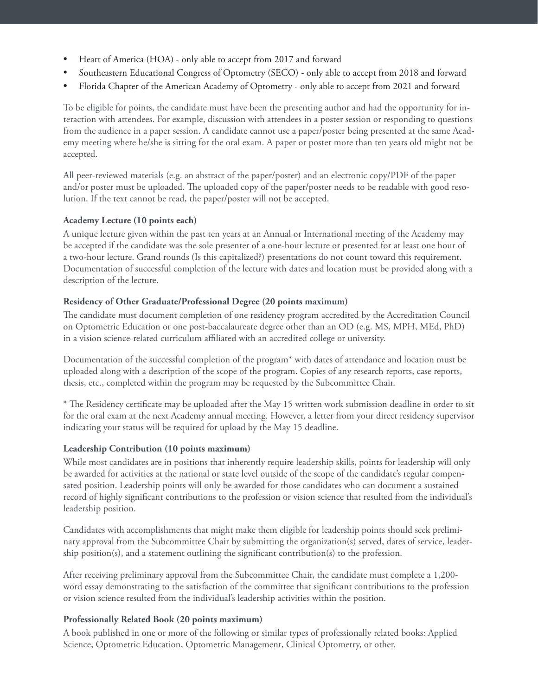- Heart of America (HOA) only able to accept from 2017 and forward
- Southeastern Educational Congress of Optometry (SECO) only able to accept from 2018 and forward
- Florida Chapter of the American Academy of Optometry only able to accept from 2021 and forward

To be eligible for points, the candidate must have been the presenting author and had the opportunity for interaction with attendees. For example, discussion with attendees in a poster session or responding to questions from the audience in a paper session. A candidate cannot use a paper/poster being presented at the same Academy meeting where he/she is sitting for the oral exam. A paper or poster more than ten years old might not be accepted.

All peer-reviewed materials (e.g. an abstract of the paper/poster) and an electronic copy/PDF of the paper and/or poster must be uploaded. The uploaded copy of the paper/poster needs to be readable with good resolution. If the text cannot be read, the paper/poster will not be accepted.

#### **Academy Lecture (10 points each)**

A unique lecture given within the past ten years at an Annual or International meeting of the Academy may be accepted if the candidate was the sole presenter of a one-hour lecture or presented for at least one hour of a two-hour lecture. Grand rounds (Is this capitalized?) presentations do not count toward this requirement. Documentation of successful completion of the lecture with dates and location must be provided along with a description of the lecture.

#### **Residency of Other Graduate/Professional Degree (20 points maximum)**

The candidate must document completion of one residency program accredited by the Accreditation Council on Optometric Education or one post-baccalaureate degree other than an OD (e.g. MS, MPH, MEd, PhD) in a vision science-related curriculum affiliated with an accredited college or university.

Documentation of the successful completion of the program\* with dates of attendance and location must be uploaded along with a description of the scope of the program. Copies of any research reports, case reports, thesis, etc., completed within the program may be requested by the Subcommittee Chair.

\* The Residency certificate may be uploaded after the May 15 written work submission deadline in order to sit for the oral exam at the next Academy annual meeting. However, a letter from your direct residency supervisor indicating your status will be required for upload by the May 15 deadline.

#### **Leadership Contribution (10 points maximum)**

While most candidates are in positions that inherently require leadership skills, points for leadership will only be awarded for activities at the national or state level outside of the scope of the candidate's regular compensated position. Leadership points will only be awarded for those candidates who can document a sustained record of highly significant contributions to the profession or vision science that resulted from the individual's leadership position.

Candidates with accomplishments that might make them eligible for leadership points should seek preliminary approval from the Subcommittee Chair by submitting the organization(s) served, dates of service, leadership position(s), and a statement outlining the significant contribution(s) to the profession.

After receiving preliminary approval from the Subcommittee Chair, the candidate must complete a 1,200 word essay demonstrating to the satisfaction of the committee that significant contributions to the profession or vision science resulted from the individual's leadership activities within the position.

#### **Professionally Related Book (20 points maximum)**

A book published in one or more of the following or similar types of professionally related books: Applied Science, Optometric Education, Optometric Management, Clinical Optometry, or other.